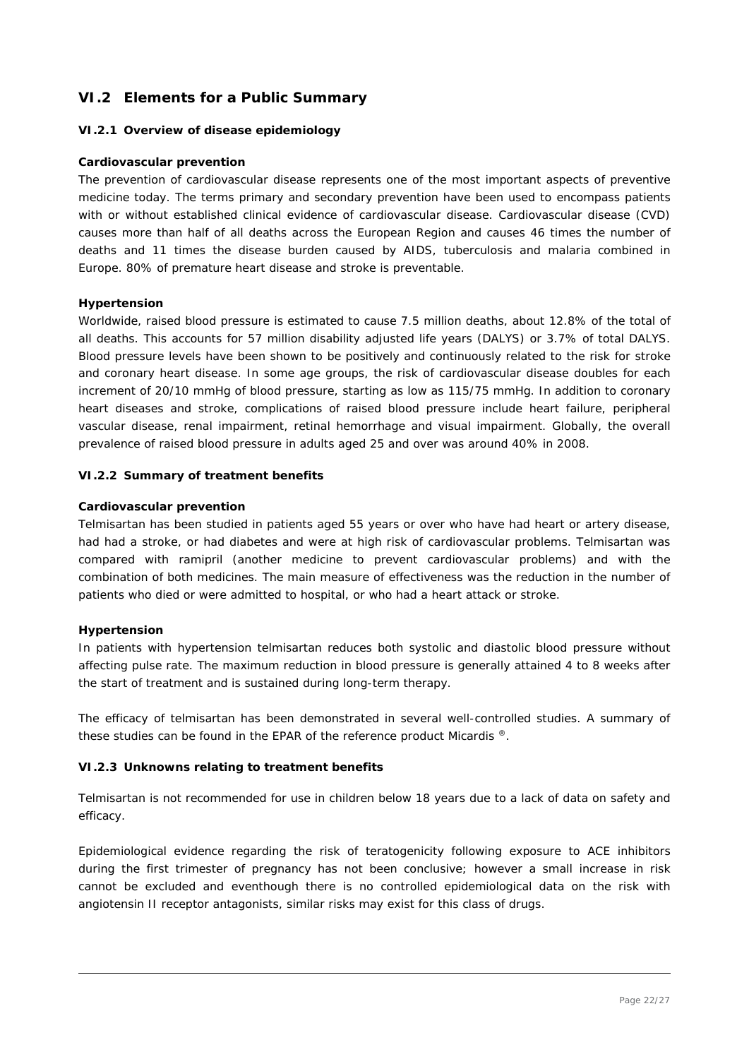# **VI.2 Elements for a Public Summary**

### *VI.2.1 Overview of disease epidemiology*

### **Cardiovascular prevention**

The prevention of cardiovascular disease represents one of the most important aspects of preventive medicine today. The terms primary and secondary prevention have been used to encompass patients with or without established clinical evidence of cardiovascular disease. Cardiovascular disease (CVD) causes more than half of all deaths across the European Region and causes 46 times the number of deaths and 11 times the disease burden caused by AIDS, tuberculosis and malaria combined in Europe. 80% of premature heart disease and stroke is preventable.

### **Hypertension**

Worldwide, raised blood pressure is estimated to cause 7.5 million deaths, about 12.8% of the total of all deaths. This accounts for 57 million disability adjusted life years (DALYS) or 3.7% of total DALYS. Blood pressure levels have been shown to be positively and continuously related to the risk for stroke and coronary heart disease. In some age groups, the risk of cardiovascular disease doubles for each increment of 20/10 mmHg of blood pressure, starting as low as 115/75 mmHg. In addition to coronary heart diseases and stroke, complications of raised blood pressure include heart failure, peripheral vascular disease, renal impairment, retinal hemorrhage and visual impairment. Globally, the overall prevalence of raised blood pressure in adults aged 25 and over was around 40% in 2008.

### *VI.2.2 Summary of treatment benefits*

#### **Cardiovascular prevention**

Telmisartan has been studied in patients aged 55 years or over who have had heart or artery disease, had had a stroke, or had diabetes and were at high risk of cardiovascular problems. Telmisartan was compared with ramipril (another medicine to prevent cardiovascular problems) and with the combination of both medicines. The main measure of effectiveness was the reduction in the number of patients who died or were admitted to hospital, or who had a heart attack or stroke.

### **Hypertension**

In patients with hypertension telmisartan reduces both systolic and diastolic blood pressure without affecting pulse rate. The maximum reduction in blood pressure is generally attained 4 to 8 weeks after the start of treatment and is sustained during long-term therapy.

The efficacy of telmisartan has been demonstrated in several well-controlled studies. A summary of these studies can be found in the EPAR of the reference product Micardis ®.

### *VI.2.3 Unknowns relating to treatment benefits*

Telmisartan is not recommended for use in children below 18 years due to a lack of data on safety and efficacy.

Epidemiological evidence regarding the risk of teratogenicity following exposure to ACE inhibitors during the first trimester of pregnancy has not been conclusive; however a small increase in risk cannot be excluded and eventhough there is no controlled epidemiological data on the risk with angiotensin II receptor antagonists, similar risks may exist for this class of drugs.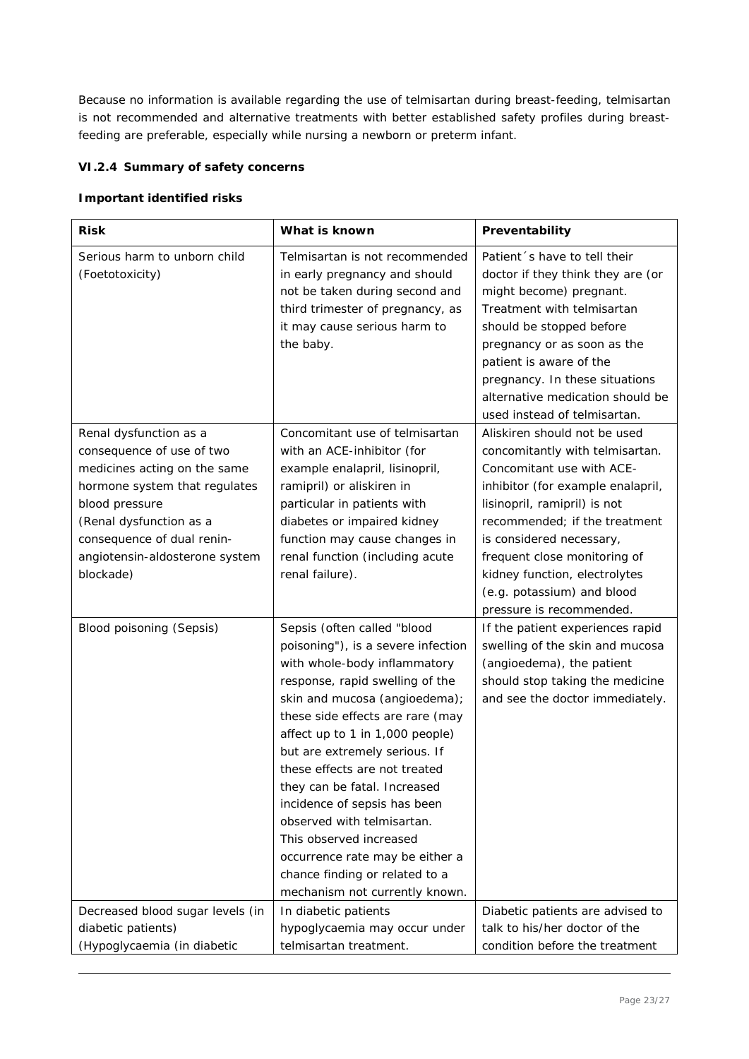Because no information is available regarding the use of telmisartan during breast-feeding, telmisartan is not recommended and alternative treatments with better established safety profiles during breastfeeding are preferable, especially while nursing a newborn or preterm infant.

## *VI.2.4 Summary of safety concerns*

### **Important identified risks**

| <b>Risk</b>                                                                                                                                                                                                                                    | What is known                                                                                                                                                                                                                                                                                                                                                                                                                                                                                                                                  | Preventability                                                                                                                                                                                                                                                                                                                                            |
|------------------------------------------------------------------------------------------------------------------------------------------------------------------------------------------------------------------------------------------------|------------------------------------------------------------------------------------------------------------------------------------------------------------------------------------------------------------------------------------------------------------------------------------------------------------------------------------------------------------------------------------------------------------------------------------------------------------------------------------------------------------------------------------------------|-----------------------------------------------------------------------------------------------------------------------------------------------------------------------------------------------------------------------------------------------------------------------------------------------------------------------------------------------------------|
| Serious harm to unborn child<br>(Foetotoxicity)                                                                                                                                                                                                | Telmisartan is not recommended<br>in early pregnancy and should<br>not be taken during second and<br>third trimester of pregnancy, as<br>it may cause serious harm to<br>the baby.                                                                                                                                                                                                                                                                                                                                                             | Patient 's have to tell their<br>doctor if they think they are (or<br>might become) pregnant.<br>Treatment with telmisartan<br>should be stopped before<br>pregnancy or as soon as the<br>patient is aware of the<br>pregnancy. In these situations<br>alternative medication should be<br>used instead of telmisartan.                                   |
| Renal dysfunction as a<br>consequence of use of two<br>medicines acting on the same<br>hormone system that regulates<br>blood pressure<br>(Renal dysfunction as a<br>consequence of dual renin-<br>angiotensin-aldosterone system<br>blockade) | Concomitant use of telmisartan<br>with an ACE-inhibitor (for<br>example enalapril, lisinopril,<br>ramipril) or aliskiren in<br>particular in patients with<br>diabetes or impaired kidney<br>function may cause changes in<br>renal function (including acute<br>renal failure).                                                                                                                                                                                                                                                               | Aliskiren should not be used<br>concomitantly with telmisartan.<br>Concomitant use with ACE-<br>inhibitor (for example enalapril,<br>lisinopril, ramipril) is not<br>recommended; if the treatment<br>is considered necessary,<br>frequent close monitoring of<br>kidney function, electrolytes<br>(e.g. potassium) and blood<br>pressure is recommended. |
| Blood poisoning (Sepsis)                                                                                                                                                                                                                       | Sepsis (often called "blood<br>poisoning"), is a severe infection<br>with whole-body inflammatory<br>response, rapid swelling of the<br>skin and mucosa (angioedema);<br>these side effects are rare (may<br>affect up to 1 in 1,000 people)<br>but are extremely serious. If<br>these effects are not treated<br>they can be fatal. Increased<br>incidence of sepsis has been<br>observed with telmisartan.<br>This observed increased<br>occurrence rate may be either a<br>chance finding or related to a<br>mechanism not currently known. | If the patient experiences rapid<br>swelling of the skin and mucosa<br>(angioedema), the patient<br>should stop taking the medicine<br>and see the doctor immediately.                                                                                                                                                                                    |
| Decreased blood sugar levels (in<br>diabetic patients)<br>(Hypoglycaemia (in diabetic                                                                                                                                                          | In diabetic patients<br>hypoglycaemia may occur under<br>telmisartan treatment.                                                                                                                                                                                                                                                                                                                                                                                                                                                                | Diabetic patients are advised to<br>talk to his/her doctor of the<br>condition before the treatment                                                                                                                                                                                                                                                       |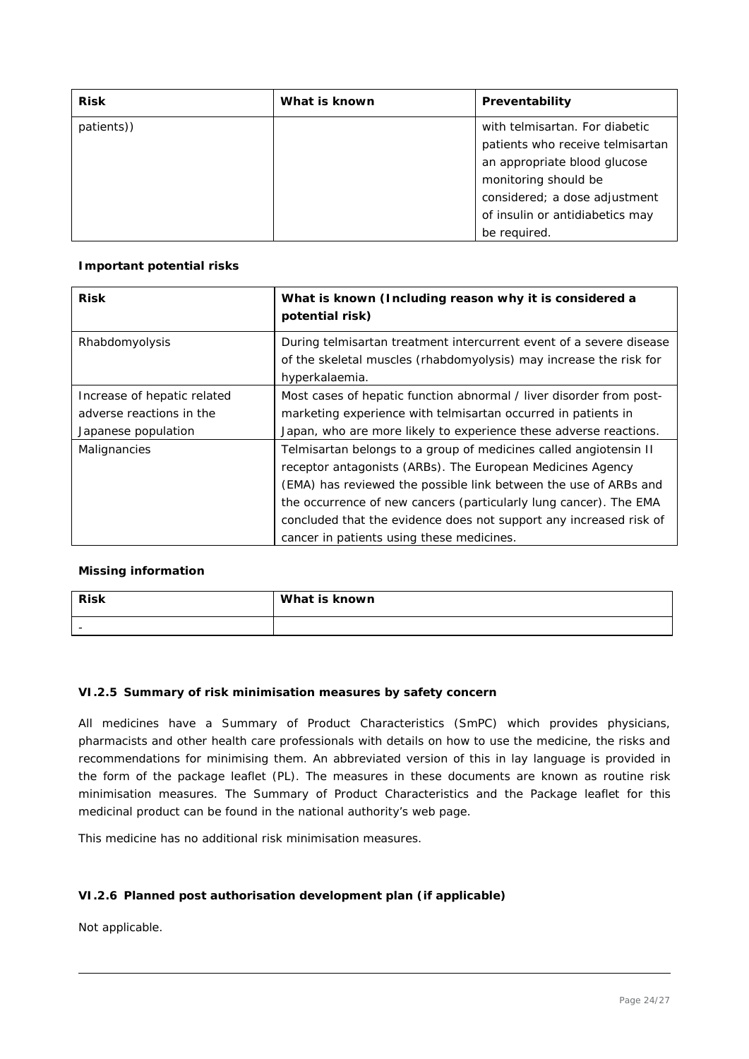| <b>Risk</b> | What is known | Preventability                   |
|-------------|---------------|----------------------------------|
| patients))  |               | with telmisartan. For diabetic   |
|             |               | patients who receive telmisartan |
|             |               | an appropriate blood glucose     |
|             |               | monitoring should be             |
|             |               | considered; a dose adjustment    |
|             |               | of insulin or antidiabetics may  |
|             |               | be required.                     |

### **Important potential risks**

| <b>Risk</b>                 | What is known (Including reason why it is considered a<br>potential risk) |
|-----------------------------|---------------------------------------------------------------------------|
| Rhabdomyolysis              | During telmisartan treatment intercurrent event of a severe disease       |
|                             | of the skeletal muscles (rhabdomyolysis) may increase the risk for        |
|                             | hyperkalaemia.                                                            |
| Increase of hepatic related | Most cases of hepatic function abnormal / liver disorder from post-       |
| adverse reactions in the    | marketing experience with telmisartan occurred in patients in             |
| Japanese population         | Japan, who are more likely to experience these adverse reactions.         |
| Malignancies                | Telmisartan belongs to a group of medicines called angiotensin II         |
|                             | receptor antagonists (ARBs). The European Medicines Agency                |
|                             | (EMA) has reviewed the possible link between the use of ARBs and          |
|                             | the occurrence of new cancers (particularly lung cancer). The EMA         |
|                             | concluded that the evidence does not support any increased risk of        |
|                             | cancer in patients using these medicines.                                 |

### **Missing information**

| <b>Risk</b> | What is known |
|-------------|---------------|
| $\sim$      |               |

## *VI.2.5 Summary of risk minimisation measures by safety concern*

All medicines have a Summary of Product Characteristics (SmPC) which provides physicians, pharmacists and other health care professionals with details on how to use the medicine, the risks and recommendations for minimising them. An abbreviated version of this in lay language is provided in the form of the package leaflet (PL). The measures in these documents are known as routine risk minimisation measures. The Summary of Product Characteristics and the Package leaflet for this medicinal product can be found in the national authority's web page.

This medicine has no additional risk minimisation measures.

## *VI.2.6 Planned post authorisation development plan (if applicable)*

Not applicable.